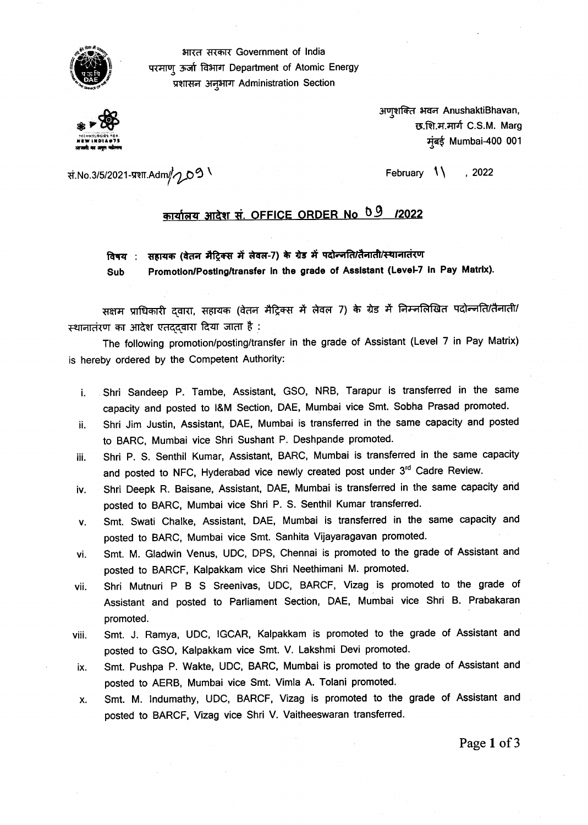

आरत सरकार Government of India परमाणू ऊर्जा विभाग Department of Atomic Energy प्रशासन अनुभाग Administration Section



अणशक्ति भवन AnushaktiBhavan, छ.शि.म.मार्ग C.S.M. Marg **HOW 111D111•7\$** Mumbai-400 001

Tt.No.3/5/2021 -73ThAdm//4\_00 February , 2022 /

## <u> कार्यालय आदेश सं. OFFICE ORDER No 09 /2022</u>

विषय : सहायक (वेतन मैट्रिक्स में लेवल-7) के ग्रेड में पदोन्जति/तैनाती/स्थानातंरण

Sub Promotion/Posting/transfer in the grade of Assistant (Level-7 in Pay Matrix).

सक्षम प्राधिकारी द्वारा, सहायक (वेतन मैट्रिक्स में लेवल 7) के ग्रेड में निम्नलिखित पदोन्नति/तैनाती/ स्थानातंरण का आदेश एतददवारा दिया जाता है :

The following promotion/posting/transfer in the grade of Assistant (Level 7 in Pay Matrix) is hereby ordered by the Competent Authority:

- i. Shri Sandeep P. Tambe, Assistant, GSO, NRB, Tarapur is transferred in the same capacity and posted to I&M Section, DAE, Mumbai vice Smt. Sobha Prasad promoted.
- ii. Shri Jim Justin, Assistant, DAE, Mumbai is transferred in the same capacity and posted to BARC, Mumbai vice Shri Sushant P. Deshpande promoted.
- iii. Shri P. S. Senthil Kumar, Assistant, BARC, Mumbai is transferred in the same capacity and posted to NFC, Hyderabad vice newly created post under 3rd Cadre Review.
- iv. Shri Deepk R. Baisane, Assistant, DAE, Mumbai is transferred in the same capacity and posted to BARC, Mumbai vice Shri P. S. Senthil Kumar transferred.
- v. Smt. Swati Chalke, Assistant, DAE, Mumbai is transferred in the same capacity and posted to BARC, Mumbai vice Smt. Sanhita Vijayaragavan promoted.
- vi. Smt. M. Gladwin Venus, UDC, DPS, Chennai is promoted to the grade of Assistant and posted to BARCF, Kalpakkam vice Shri Neethimani M. promoted.
- vii. Shri Mutnuri P B S Sreenivas, UDC, BARCF, Vizag is promoted to the grade of Assistant and posted to Parliament Section, DAE, Mumbai vice Shri B. Prabakaran promoted.
- viii. Smt. J. Ramya, UDC, IGCAR, Kalpakkam is promoted to the grade of Assistant and posted to GSO, Kalpakkam vice Smt. V. Lakshmi Devi promoted.
- ix. Smt. Pushpa P. Wakte, UDC, BARC, Mumbai is promoted to the grade of Assistant and posted to AERB, Mumbai vice Smt. Vimla A. Tolani promoted.
- x. Smt. M. Indumathy, UDC, BARCF, Vizag is promoted to the grade of Assistant and posted to BARCF, Vizag vice Shri V. Vaitheeswaran transferred.

Page 1 of 3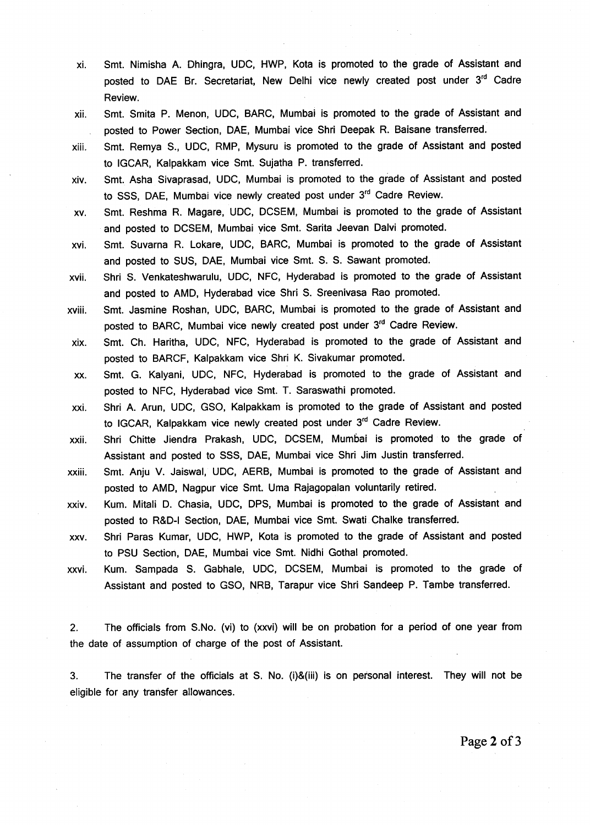- xi. Smt. Nimisha A. Dhingra, UDC, HWP, Kota is promoted to the grade of Assistant and posted to DAE Br. Secretariat, New Delhi vice newly created post under 3<sup>rd</sup> Cadre Review.
- xii. Smt. Smita P. Menon, UDC, BARC, Mumbai is promoted to the grade of Assistant and posted to Power Section, DAE, Mumbai vice Shri Deepak R. Baisane transferred.
- xiii. Smt. Remya S., UDC, RMP, Mysuru is promoted to the grade of Assistant and posted to IGCAR, Kalpakkam vice Smt. Sujatha P. transferred.
- xiv. Smt. Asha Sivaprasad, UDC, Mumbai is promoted to the grade of Assistant and posted to SSS, DAE, Mumbai vice newly created post under 3<sup>rd</sup> Cadre Review.
- xv. Smt. Reshma R. Magare, UDC, DCSEM, Mumbai is promoted to the grade of Assistant and posted to DCSEM, Mumbai vice Smt. Sarita Jeevan Dalvi promoted.
- xvi. Smt. Suvarna R. Lokare, UDC, BARC, Mumbai is promoted to the grade of Assistant and posted to SUS, DAE, Mumbai vice Smt. S. S. Sawant promoted.
- xvii. Shri S. Venkateshwarulu, UDC, NFC, Hyderabad is promoted to the grade of Assistant and posted to AMD, Hyderabad vice Shri S. Sreenivasa Rao promoted.
- xviii. Smt. Jasmine Roshan, UDC, BARC, Mumbai is promoted to the grade of Assistant and posted to BARC, Mumbai vice newly created post under 3rd Cadre Review.
- xix. Smt. Ch. Haritha, UDC, NFC, Hyderabad is promoted to the grade of Assistant and posted to BARCF, Kalpakkam vice Shri K. Sivakumar promoted.
- xx. Smt. G. Kalyani, UDC, NFC, Hyderabad is promoted to the grade of Assistant and posted to NFC, Hyderabad vice Smt. T. Saraswathi promoted.
- xxi. Shri A. Arun, UDC, GSO, Kalpakkam is promoted to the grade of Assistant and posted to IGCAR, Kalpakkam vice newly created post under 3<sup>rd</sup> Cadre Review.
- xxii. Shri Chitte Jiendra Prakash, UDC, DCSEM, Mumbai is promoted to the grade of Assistant and posted to SSS, DAE, Mumbai vice Shri Jim Justin transferred.
- xxiii. Smt. Anju V. Jaiswal, UDC, AERB, Mumbai is promoted to the grade of Assistant and posted to AMD, Nagpur vice Smt. Uma Rajagopalan voluntarily retired.
- xxiv. Kum. Mitali D. Chasia, UDC, DPS, Mumbai is promoted to the grade of Assistant and posted to R&D-I Section, DAE, Mumbai vice Smt. Swati Chalke transferred.
- xxv. Shri Paras Kumar, UDC, HWP, Kota is promoted to the grade of Assistant and posted to PSU Section, DAE, Mumbai vice Smt. Nidhi Gothal promoted.
- xxvi. Kum. Sampada S. Gabhale, UDC, DCSEM, Mumbai is promoted to the grade of Assistant and posted to GSO, NRB, Tarapur vice Shri Sandeep P. Tambe transferred.

2. The officials from S.No. (vi) to (xxvi) will be on probation for a period of one year from the date of assumption of charge of the post of Assistant.

3. The transfer of the officials at S. No. (i)&(iii) is on personal interest. They will not be eligible for any transfer allowances.

Page 2 of 3